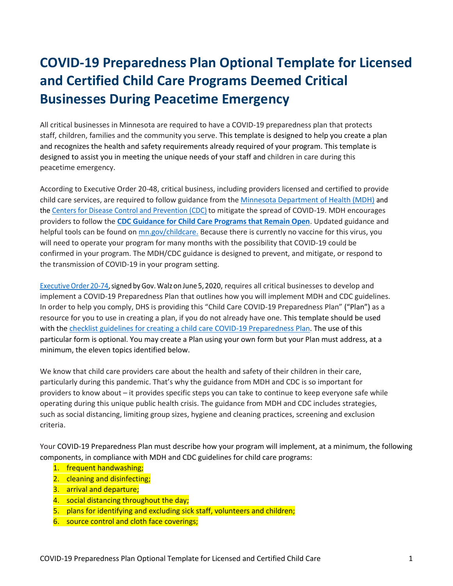# **COVID-19 Preparedness Plan Optional Template for Licensed and Certified Child Care Programs Deemed Critical Businesses During Peacetime Emergency**

All critical businesses in Minnesota are required to have a COVID-19 preparedness plan that protects staff, children, families and the community you serve. This template is designed to help you create a plan and recognizes the health and safety requirements already required of your program. This template is designed to assist you in meeting the unique needs of your staff and children in care during this peacetime emergency.

According to Executive Order 20-48, critical business, including providers licensed and certified to provide child care services, are required to follow guidance from the [Minnesota Department of Health \(MDH\)](https://www.health.state.mn.us/diseases/coronavirus/index.html) and the [Centers for Disease Control and Prevention \(CDC\)](https://www.cdc.gov/coronavirus/2019-ncov/index.html) to mitigate the spread of COVID-19. MDH encourages providers to follow the **[CDC Guidance for Child Care Programs that Remain Open](https://www.cdc.gov/coronavirus/2019-ncov/community/schools-childcare/guidance-for-childcare.html)**. Updated guidance and helpful tools can be found on [mn.gov/childcare.](https://mn.gov/childcare/) Because there is currently no vaccine for this virus, you will need to operate your program for many months with the possibility that COVID-19 could be confirmed in your program. The MDH/CDC guidance is designed to prevent, and mitigate, or respond to the transmission of COVID-19 in your program setting.

Executive Order 20-74, signed by Gov. Walz on June 5, 2020, requires all critical businesses to develop and implement a COVID-19 Preparedness Plan that outlines how you will implement MDH and CDC guidelines. In order to help you comply, DHS is providing this "Child Care COVID-19 Preparedness Plan" ("Plan") as a resource for you to use in creating a plan, if you do not already have one. This template should be used with the [checklist guidelines for creating a child care COVID-19](https://mn.gov/dhs/assets/Guidance-for-DHS-licensed-and-certified-child-care-providers_tcm1053-436632.pdf) Preparedness Plan. The use of this particular form is optional. You may create a Plan using your own form but your Plan must address, at a minimum, the eleven topics identified below.

We know that child care providers care about the health and safety of their children in their care, particularly during this pandemic. That's why the guidance from MDH and CDC is so important for providers to know about – it provides specific steps you can take to continue to keep everyone safe while operating during this unique public health crisis. The guidance from MDH and CDC includes strategies, such as social distancing, limiting group sizes, hygiene and cleaning practices, screening and exclusion criteria.

Your COVID-19 Preparedness Plan must describe how your program will implement, at a minimum, the following components, in compliance with MDH and CDC guidelines for child care programs:

- 1. frequent handwashing;
- 2. cleaning and disinfecting;
- 3. arrival and departure;
- 4. social distancing throughout the day;
- 5. plans for identifying and excluding sick staff, volunteers and children;
- 6. source control and cloth face coverings;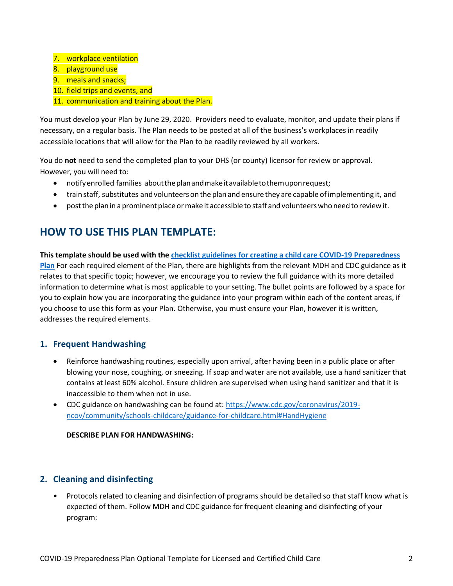- 7. workplace ventilation
- 8. playground use
- 9. meals and snacks;
- 10. field trips and events, and
- 11. communication and training about the Plan.

You must develop your Plan by June 29, 2020. Providers need to evaluate, monitor, and update their plans if necessary, on a regular basis. The Plan needs to be posted at all of the business's workplaces in readily accessible locations that will allow for the Plan to be readily reviewed by all workers.

You do **not** need to send the completed plan to your DHS (or county) licensor for review or approval. However, you will need to:

- notifyenrolled families abouttheplanandmakeitavailabletothemuponrequest;
- train staff, substitutes andvolunteerson the plan and ensure they are capable ofimplementing it, and
- post the plan in a prominent place or make it accessible to staff and volunteers who need to review it.

# **HOW TO USE THIS PLAN TEMPLATE:**

**This template should be used with the [checklist guidelines for creating a child care COVID-19](https://mn.gov/dhs/assets/Guidance-for-DHS-licensed-and-certified-child-care-providers_tcm1053-436632.pdf) Preparedness [Plan](https://mn.gov/dhs/assets/Guidance-for-DHS-licensed-and-certified-child-care-providers_tcm1053-436632.pdf)** For each required element of the Plan, there are highlights from the relevant MDH and CDC guidance as it relates to that specific topic; however, we encourage you to review the full guidance with its more detailed information to determine what is most applicable to your setting. The bullet points are followed by a space for you to explain how you are incorporating the guidance into your program within each of the content areas, if you choose to use this form as your Plan. Otherwise, you must ensure your Plan, however it is written, addresses the required elements.

# **1. Frequent Handwashing**

- Reinforce handwashing routines, especially upon arrival, after having been in a public place or after blowing your nose, coughing, or sneezing. If soap and water are not available, use a hand sanitizer that contains at least 60% alcohol. Ensure children are supervised when using hand sanitizer and that it is inaccessible to them when not in use.
- CDC guidance on handwashing can be found at: [https://www.cdc.gov/coronavirus/2019](https://www.cdc.gov/coronavirus/2019-ncov/community/schools-childcare/guidance-for-childcare.html#HandHygiene) [ncov/community/schools-childcare/guidance-for-childcare.html#HandHygiene](https://www.cdc.gov/coronavirus/2019-ncov/community/schools-childcare/guidance-for-childcare.html#HandHygiene)

#### **DESCRIBE PLAN FOR HANDWASHING:**

# **2. Cleaning and disinfecting**

• Protocols related to cleaning and disinfection of programs should be detailed so that staff know what is expected of them. Follow MDH and CDC guidance for frequent cleaning and disinfecting of your program: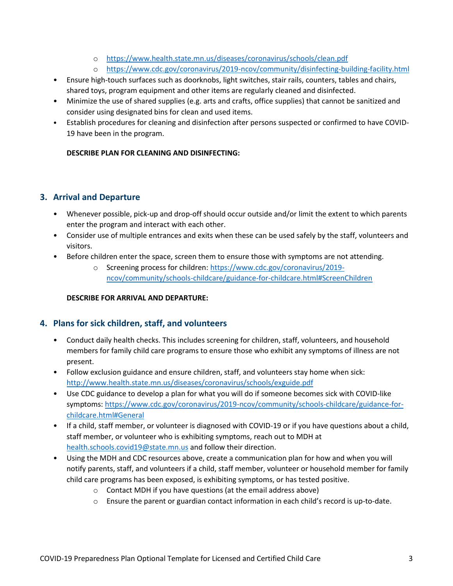- o <https://www.health.state.mn.us/diseases/coronavirus/schools/clean.pdf>
- o <https://www.cdc.gov/coronavirus/2019-ncov/community/disinfecting-building-facility.html>
- Ensure high-touch surfaces such as doorknobs, light switches, stair rails, counters, tables and chairs, shared toys, program equipment and other items are regularly cleaned and disinfected.
- Minimize the use of shared supplies (e.g. arts and crafts, office supplies) that cannot be sanitized and consider using designated bins for clean and used items.
- Establish procedures for cleaning and disinfection after persons suspected or confirmed to have COVID-19 have been in the program.

#### **DESCRIBE PLAN FOR CLEANING AND DISINFECTING:**

# **3. Arrival and Departure**

- Whenever possible, pick-up and drop-off should occur outside and/or limit the extent to which parents enter the program and interact with each other.
- Consider use of multiple entrances and exits when these can be used safely by the staff, volunteers and visitors.
- Before children enter the space, screen them to ensure those with symptoms are not attending.
	- o Screening process for children: [https://www.cdc.gov/coronavirus/2019](https://www.cdc.gov/coronavirus/2019-ncov/community/schools-childcare/guidance-for-childcare.html#ScreenChildren) [ncov/community/schools-childcare/guidance-for-childcare.html#ScreenChildren](https://www.cdc.gov/coronavirus/2019-ncov/community/schools-childcare/guidance-for-childcare.html#ScreenChildren)

#### **DESCRIBE FOR ARRIVAL AND DEPARTURE:**

# **4. Plans for sick children, staff, and volunteers**

- Conduct daily health checks. This includes screening for children, staff, volunteers, and household members for family child care programs to ensure those who exhibit any symptoms of illness are not present.
- Follow exclusion guidance and ensure children, staff, and volunteers stay home when sick: <http://www.health.state.mn.us/diseases/coronavirus/schools/exguide.pdf>
- Use CDC guidance to develop a plan for what you will do if someone becomes sick with COVID-like symptoms: [https://www.cdc.gov/coronavirus/2019-ncov/community/schools-childcare/guidance-for](https://www.cdc.gov/coronavirus/2019-ncov/community/schools-childcare/guidance-for-childcare.html#General)[childcare.html#General](https://www.cdc.gov/coronavirus/2019-ncov/community/schools-childcare/guidance-for-childcare.html#General)
- If a child, staff member, or volunteer is diagnosed with COVID-19 or if you have questions about a child, staff member, or volunteer who is exhibiting symptoms, reach out to MDH at [health.schools.covid19@state.mn.us](mailto:health.schools.covid19@state.mn.us) and follow their direction.
- Using the MDH and CDC resources above, create a communication plan for how and when you will notify parents, staff, and volunteers if a child, staff member, volunteer or household member for family child care programs has been exposed, is exhibiting symptoms, or has tested positive.
	- o Contact MDH if you have questions (at the email address above)
	- o Ensure the parent or guardian contact information in each child's record is up-to-date.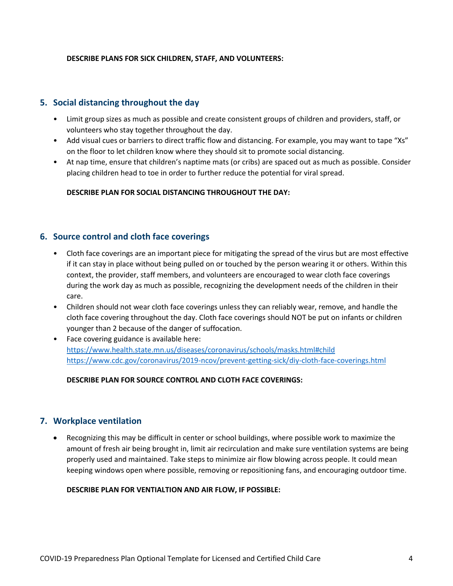#### **DESCRIBE PLANS FOR SICK CHILDREN, STAFF, AND VOLUNTEERS:**

#### **5. Social distancing throughout the day**

- Limit group sizes as much as possible and create consistent groups of children and providers, staff, or volunteers who stay together throughout the day.
- Add visual cues or barriers to direct traffic flow and distancing. For example, you may want to tape "Xs" on the floor to let children know where they should sit to promote social distancing.
- At nap time, ensure that children's naptime mats (or cribs) are spaced out as much as possible. Consider placing children head to toe in order to further reduce the potential for viral spread.

#### **DESCRIBE PLAN FOR SOCIAL DISTANCING THROUGHOUT THE DAY:**

### **6. Source control and cloth face coverings**

- Cloth face coverings are an important piece for mitigating the spread of the virus but are most effective if it can stay in place without being pulled on or touched by the person wearing it or others. Within this context, the provider, staff members, and volunteers are encouraged to wear cloth face coverings during the work day as much as possible, recognizing the development needs of the children in their care.
- Children should not wear cloth face coverings unless they can reliably wear, remove, and handle the cloth face covering throughout the day. Cloth face coverings should NOT be put on infants or children younger than 2 because of the danger of suffocation.
- Face covering guidance is available here: <https://www.health.state.mn.us/diseases/coronavirus/schools/masks.html#child> <https://www.cdc.gov/coronavirus/2019-ncov/prevent-getting-sick/diy-cloth-face-coverings.html>

#### **DESCRIBE PLAN FOR SOURCE CONTROL AND CLOTH FACE COVERINGS:**

#### **7. Workplace ventilation**

• Recognizing this may be difficult in center or school buildings, where possible work to maximize the amount of fresh air being brought in, limit air recirculation and make sure ventilation systems are being properly used and maintained. Take steps to minimize air flow blowing across people. It could mean keeping windows open where possible, removing or repositioning fans, and encouraging outdoor time.

#### **DESCRIBE PLAN FOR VENTIALTION AND AIR FLOW, IF POSSIBLE:**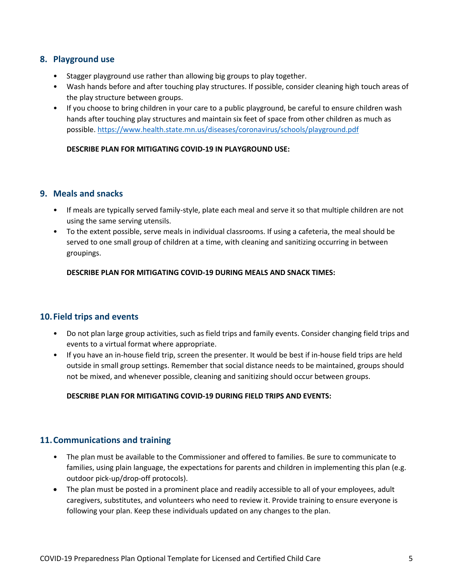### **8. Playground use**

- Stagger playground use rather than allowing big groups to play together.
- Wash hands before and after touching play structures. If possible, consider cleaning high touch areas of the play structure between groups.
- If you choose to bring children in your care to a public playground, be careful to ensure children wash hands after touching play structures and maintain six feet of space from other children as much as possible.<https://www.health.state.mn.us/diseases/coronavirus/schools/playground.pdf>

#### **DESCRIBE PLAN FOR MITIGATING COVID-19 IN PLAYGROUND USE:**

#### **9. Meals and snacks**

- If meals are typically served family-style, plate each meal and serve it so that multiple children are not using the same serving utensils.
- To the extent possible, serve meals in individual classrooms. If using a cafeteria, the meal should be served to one small group of children at a time, with cleaning and sanitizing occurring in between groupings.

**DESCRIBE PLAN FOR MITIGATING COVID-19 DURING MEALS AND SNACK TIMES:** 

# **10.Field trips and events**

- Do not plan large group activities, such as field trips and family events. Consider changing field trips and events to a virtual format where appropriate.
- If you have an in-house field trip, screen the presenter. It would be best if in-house field trips are held outside in small group settings. Remember that social distance needs to be maintained, groups should not be mixed, and whenever possible, cleaning and sanitizing should occur between groups.

#### **DESCRIBE PLAN FOR MITIGATING COVID-19 DURING FIELD TRIPS AND EVENTS:**

#### **11.Communications and training**

- The plan must be available to the Commissioner and offered to families. Be sure to communicate to families, using plain language, the expectations for parents and children in implementing this plan (e.g. outdoor pick-up/drop-off protocols).
- The plan must be posted in a prominent place and readily accessible to all of your employees, adult caregivers, substitutes, and volunteers who need to review it. Provide training to ensure everyone is following your plan. Keep these individuals updated on any changes to the plan.